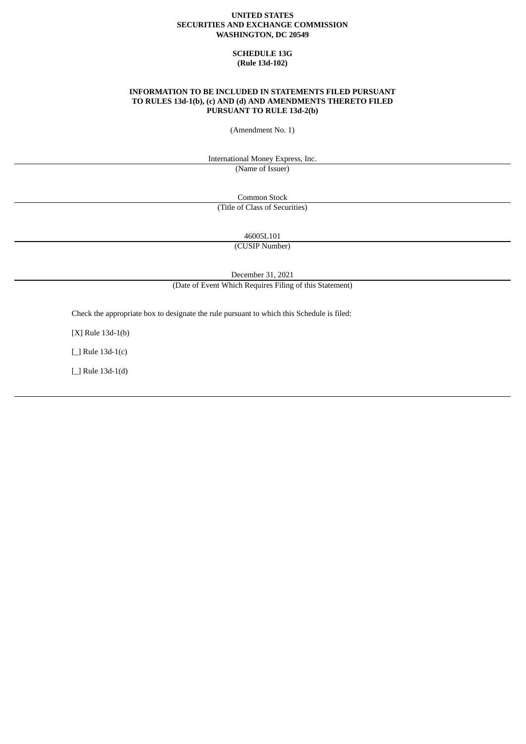## **UNITED STATES SECURITIES AND EXCHANGE COMMISSION WASHINGTON, DC 20549**

# **SCHEDULE 13G (Rule 13d-102)**

## **INFORMATION TO BE INCLUDED IN STATEMENTS FILED PURSUANT TO RULES 13d-1(b), (c) AND (d) AND AMENDMENTS THERETO FILED PURSUANT TO RULE 13d-2(b)**

(Amendment No. 1)

International Money Express, Inc.

(Name of Issuer)

Common Stock (Title of Class of Securities)

46005L101

(CUSIP Number)

December 31, 2021

(Date of Event Which Requires Filing of this Statement)

Check the appropriate box to designate the rule pursuant to which this Schedule is filed:

[X] Rule 13d-1(b)

[\_] Rule 13d-1(c)

[\_] Rule 13d-1(d)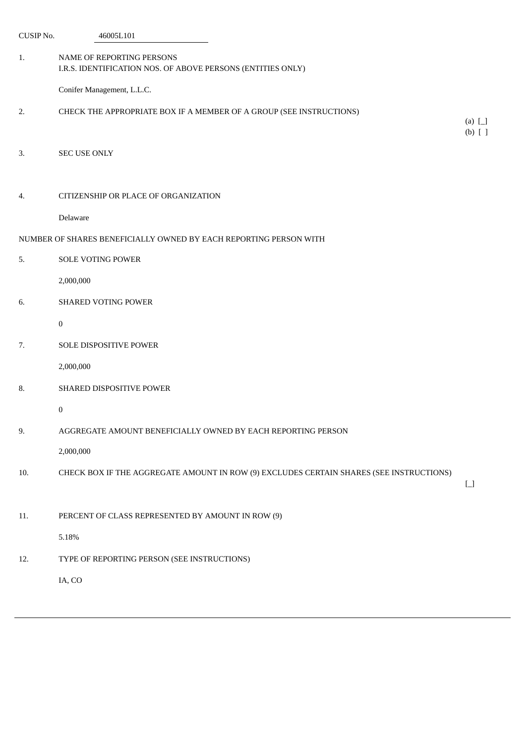| CUSIP No.                                                         | 46005L101                                                                                |                             |  |  |  |
|-------------------------------------------------------------------|------------------------------------------------------------------------------------------|-----------------------------|--|--|--|
| 1.                                                                | NAME OF REPORTING PERSONS<br>I.R.S. IDENTIFICATION NOS. OF ABOVE PERSONS (ENTITIES ONLY) |                             |  |  |  |
|                                                                   | Conifer Management, L.L.C.                                                               |                             |  |  |  |
| 2.                                                                | CHECK THE APPROPRIATE BOX IF A MEMBER OF A GROUP (SEE INSTRUCTIONS)                      | (a) $\Box$<br>$(b)$ $[$ $]$ |  |  |  |
| 3.                                                                | <b>SEC USE ONLY</b>                                                                      |                             |  |  |  |
| 4.                                                                | CITIZENSHIP OR PLACE OF ORGANIZATION                                                     |                             |  |  |  |
|                                                                   | Delaware                                                                                 |                             |  |  |  |
| NUMBER OF SHARES BENEFICIALLY OWNED BY EACH REPORTING PERSON WITH |                                                                                          |                             |  |  |  |
| 5.                                                                | SOLE VOTING POWER                                                                        |                             |  |  |  |
|                                                                   | 2,000,000                                                                                |                             |  |  |  |
| 6.                                                                | <b>SHARED VOTING POWER</b>                                                               |                             |  |  |  |
|                                                                   | $\pmb{0}$                                                                                |                             |  |  |  |
| 7.                                                                | SOLE DISPOSITIVE POWER                                                                   |                             |  |  |  |
|                                                                   | 2,000,000                                                                                |                             |  |  |  |
| 8.                                                                | SHARED DISPOSITIVE POWER                                                                 |                             |  |  |  |
|                                                                   | 0                                                                                        |                             |  |  |  |
| 9.                                                                | AGGREGATE AMOUNT BENEFICIALLY OWNED BY EACH REPORTING PERSON                             |                             |  |  |  |
|                                                                   | 2,000,000                                                                                |                             |  |  |  |
| 10.                                                               | CHECK BOX IF THE AGGREGATE AMOUNT IN ROW (9) EXCLUDES CERTAIN SHARES (SEE INSTRUCTIONS)  | $\Box$                      |  |  |  |
| 11.                                                               | PERCENT OF CLASS REPRESENTED BY AMOUNT IN ROW (9)                                        |                             |  |  |  |
|                                                                   | 5.18%                                                                                    |                             |  |  |  |
| 12.                                                               | TYPE OF REPORTING PERSON (SEE INSTRUCTIONS)                                              |                             |  |  |  |
|                                                                   | IA, CO                                                                                   |                             |  |  |  |
|                                                                   |                                                                                          |                             |  |  |  |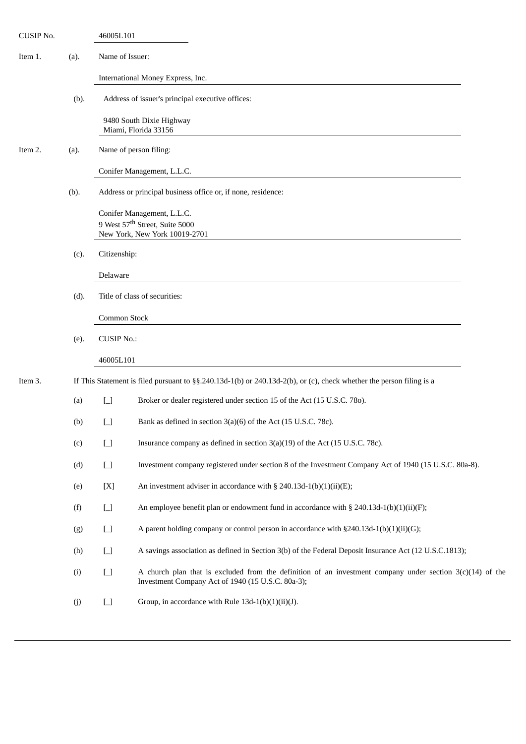| CUSIP No. |      | 46005L101                                                    |                                                                                                                                                                  |  |  |  |
|-----------|------|--------------------------------------------------------------|------------------------------------------------------------------------------------------------------------------------------------------------------------------|--|--|--|
| Item 1.   | (a). | Name of Issuer:                                              |                                                                                                                                                                  |  |  |  |
|           |      |                                                              | International Money Express, Inc.                                                                                                                                |  |  |  |
|           | (b). |                                                              | Address of issuer's principal executive offices:                                                                                                                 |  |  |  |
|           |      |                                                              | 9480 South Dixie Highway<br>Miami, Florida 33156                                                                                                                 |  |  |  |
| Item 2.   | (a). | Name of person filing:                                       |                                                                                                                                                                  |  |  |  |
|           |      |                                                              | Conifer Management, L.L.C.                                                                                                                                       |  |  |  |
|           | (b). | Address or principal business office or, if none, residence: |                                                                                                                                                                  |  |  |  |
|           |      |                                                              | Conifer Management, L.L.C.                                                                                                                                       |  |  |  |
|           |      |                                                              | 9 West 57 <sup>th</sup> Street, Suite 5000<br>New York, New York 10019-2701                                                                                      |  |  |  |
|           |      |                                                              |                                                                                                                                                                  |  |  |  |
|           | (c). | Citizenship:                                                 |                                                                                                                                                                  |  |  |  |
|           |      | Delaware                                                     |                                                                                                                                                                  |  |  |  |
|           | (d). | Title of class of securities:                                |                                                                                                                                                                  |  |  |  |
|           |      | Common Stock                                                 |                                                                                                                                                                  |  |  |  |
|           | (e). | <b>CUSIP No.:</b>                                            |                                                                                                                                                                  |  |  |  |
|           |      | 46005L101                                                    |                                                                                                                                                                  |  |  |  |
| Item 3.   |      |                                                              | If This Statement is filed pursuant to $\S$ §.240.13d-1(b) or 240.13d-2(b), or (c), check whether the person filing is a                                         |  |  |  |
|           | (a)  | $\begin{bmatrix} 1 \\ 1 \end{bmatrix}$                       | Broker or dealer registered under section 15 of the Act (15 U.S.C. 780).                                                                                         |  |  |  |
|           | (b)  | $\begin{bmatrix} 1 \\ 1 \end{bmatrix}$                       | Bank as defined in section 3(a)(6) of the Act (15 U.S.C. 78c).                                                                                                   |  |  |  |
|           | (c)  | $\boxed{\phantom{1}}$                                        | Insurance company as defined in section 3(a)(19) of the Act (15 U.S.C. 78c).                                                                                     |  |  |  |
|           | (d)  | $\begin{bmatrix} 1 \\ 1 \end{bmatrix}$                       | Investment company registered under section 8 of the Investment Company Act of 1940 (15 U.S.C. 80a-8).                                                           |  |  |  |
|           | (e)  | [X]                                                          | An investment adviser in accordance with $\S$ 240.13d-1(b)(1)(ii)(E);                                                                                            |  |  |  |
|           | (f)  | $\begin{bmatrix} 1 \\ 1 \end{bmatrix}$                       | An employee benefit plan or endowment fund in accordance with § 240.13d-1(b)(1)(ii)(F);                                                                          |  |  |  |
|           | (g)  | $\Box$                                                       | A parent holding company or control person in accordance with §240.13d-1(b)(1)(ii)(G);                                                                           |  |  |  |
|           | (h)  | $\begin{array}{c} \boxed{-} \end{array}$                     | A savings association as defined in Section 3(b) of the Federal Deposit Insurance Act (12 U.S.C.1813);                                                           |  |  |  |
|           | (i)  | $\begin{bmatrix} 1 \\ 1 \end{bmatrix}$                       | A church plan that is excluded from the definition of an investment company under section $3(c)(14)$ of the<br>Investment Company Act of 1940 (15 U.S.C. 80a-3); |  |  |  |
|           | (j)  | $\begin{bmatrix} 1 \\ 1 \end{bmatrix}$                       | Group, in accordance with Rule 13d-1(b)(1)(ii)(J).                                                                                                               |  |  |  |
|           |      |                                                              |                                                                                                                                                                  |  |  |  |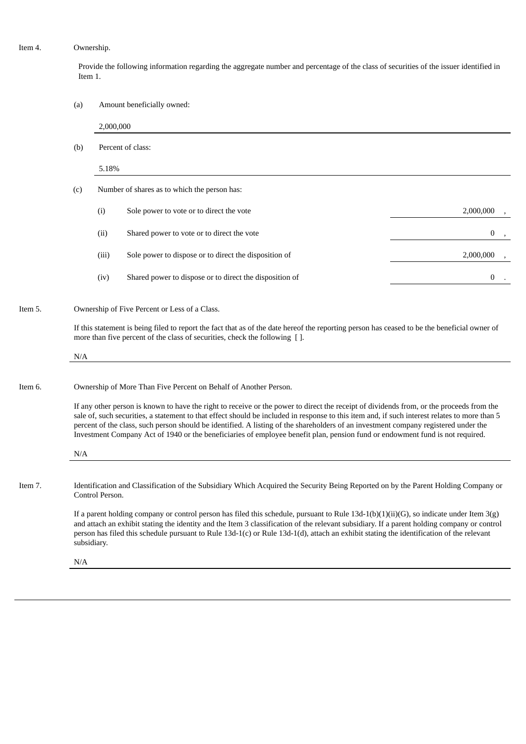#### Item 4. Ownership.

Provide the following information regarding the aggregate number and percentage of the class of securities of the issuer identified in Item 1.

(a) Amount beneficially owned:

2,000,000 (b) Percent of class: 5.18% (c) Number of shares as to which the person has: (i) Sole power to vote or to direct the vote 2,000,000  $\frac{2,000,000}{2,000,000}$ (ii) Shared power to vote or to direct the vote 0  $\sim$  0 , 0  $\sim$  0  $\sim$  0  $\sim$  0  $\sim$  0  $\sim$  0  $\sim$  0  $\sim$  0  $\sim$  0  $\sim$  0  $\sim$  0  $\sim$  0  $\sim$  0  $\sim$  0  $\sim$  0  $\sim$  0  $\sim$  0  $\sim$  0  $\sim$  0  $\sim$  0  $\sim$  0  $\sim$  0  $\sim$  0  $\sim$  0 (iii) Sole power to dispose or to direct the disposition of 2,000,000  $\qquad$  2,000,000 (iv) Shared power to dispose or to direct the disposition of 0 .

## Item 5. Ownership of Five Percent or Less of a Class.

If this statement is being filed to report the fact that as of the date hereof the reporting person has ceased to be the beneficial owner of more than five percent of the class of securities, check the following [ ].

N/A

#### Item 6. Ownership of More Than Five Percent on Behalf of Another Person.

If any other person is known to have the right to receive or the power to direct the receipt of dividends from, or the proceeds from the sale of, such securities, a statement to that effect should be included in response to this item and, if such interest relates to more than 5 percent of the class, such person should be identified. A listing of the shareholders of an investment company registered under the Investment Company Act of 1940 or the beneficiaries of employee benefit plan, pension fund or endowment fund is not required.

N/A Item 7. Identification and Classification of the Subsidiary Which Acquired the Security Being Reported on by the Parent Holding Company or

> If a parent holding company or control person has filed this schedule, pursuant to Rule 13d-1(b)(1)(ii)(G), so indicate under Item 3(g) and attach an exhibit stating the identity and the Item 3 classification of the relevant subsidiary. If a parent holding company or control person has filed this schedule pursuant to Rule 13d-1(c) or Rule 13d-1(d), attach an exhibit stating the identification of the relevant subsidiary.

N/A

Control Person.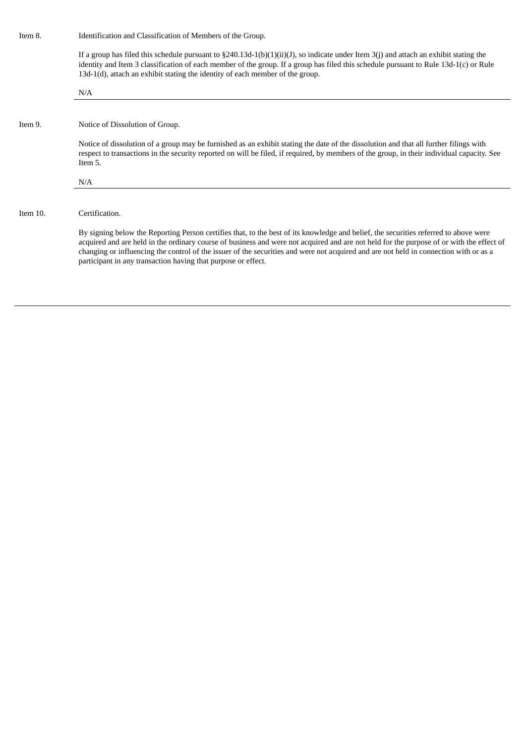Item 8. Identification and Classification of Members of the Group.

If a group has filed this schedule pursuant to §240.13d-1(b)(1)(ii)(J), so indicate under Item 3(j) and attach an exhibit stating the identity and Item 3 classification of each member of the group. If a group has filed this schedule pursuant to Rule 13d-1(c) or Rule 13d-1(d), attach an exhibit stating the identity of each member of the group.

|          | N/A                                                                                                                                                                                                                                                                                                                                                                                                                                                                                        |  |  |  |
|----------|--------------------------------------------------------------------------------------------------------------------------------------------------------------------------------------------------------------------------------------------------------------------------------------------------------------------------------------------------------------------------------------------------------------------------------------------------------------------------------------------|--|--|--|
|          |                                                                                                                                                                                                                                                                                                                                                                                                                                                                                            |  |  |  |
| Item 9.  | Notice of Dissolution of Group.                                                                                                                                                                                                                                                                                                                                                                                                                                                            |  |  |  |
|          | Notice of dissolution of a group may be furnished as an exhibit stating the date of the dissolution and that all further filings with<br>respect to transactions in the security reported on will be filed, if required, by members of the group, in their individual capacity. See<br>Item 5.                                                                                                                                                                                             |  |  |  |
|          | N/A                                                                                                                                                                                                                                                                                                                                                                                                                                                                                        |  |  |  |
|          |                                                                                                                                                                                                                                                                                                                                                                                                                                                                                            |  |  |  |
| Item 10. | Certification.                                                                                                                                                                                                                                                                                                                                                                                                                                                                             |  |  |  |
|          | By signing below the Reporting Person certifies that, to the best of its knowledge and belief, the securities referred to above were<br>acquired and are held in the ordinary course of business and were not acquired and are not held for the purpose of or with the effect of<br>changing or influencing the control of the issuer of the securities and were not acquired and are not held in connection with or as a<br>participant in any transaction having that purpose or effect. |  |  |  |
|          |                                                                                                                                                                                                                                                                                                                                                                                                                                                                                            |  |  |  |